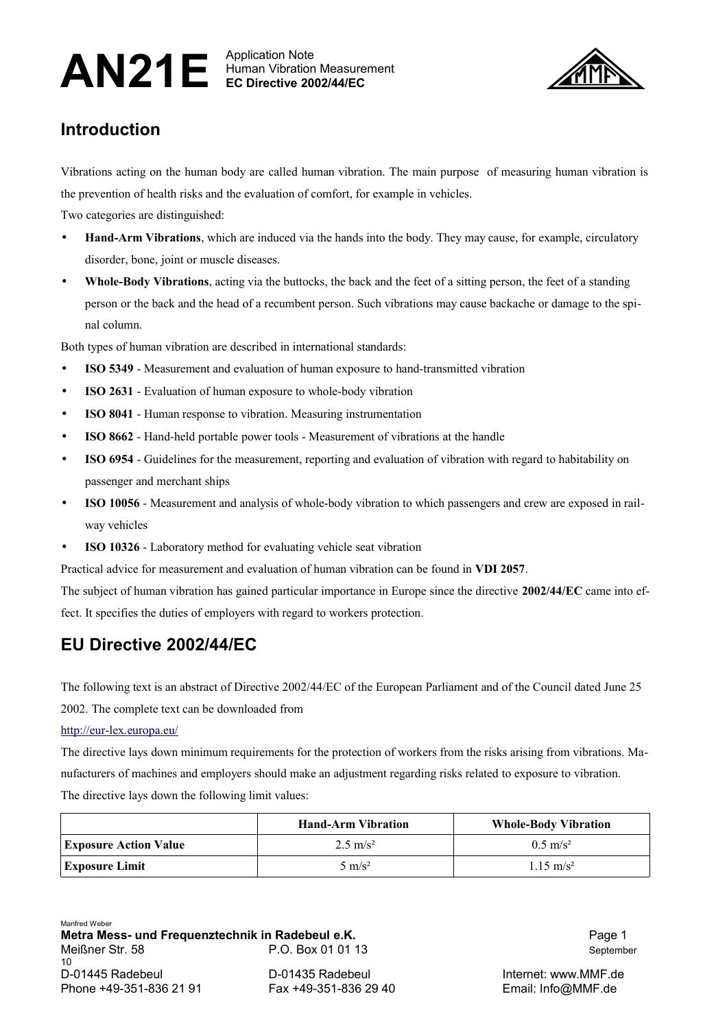## AN21E Human Vibration Note Human Vibration Measurement **EC Directive 2002/44/EC**



# **Introduction**

Vibrations acting on the human body are called human vibration. The main purpose of measuring human vibration is the prevention of health risks and the evaluation of comfort, for example in vehicles.

Two categories are distinguished:

- **Hand-Arm Vibrations**, which are induced via the hands into the body. They may cause, for example, circulatory disorder, bone, joint or muscle diseases.
- **Whole-Body Vibrations**, acting via the buttocks, the back and the feet of a sitting person, the feet of a standing person or the back and the head of a recumbent person. Such vibrations may cause backache or damage to the spinal column.

Both types of human vibration are described in international standards:

- **ISO 5349** Measurement and evaluation of human exposure to hand-transmitted vibration
- **ISO 2631** Evaluation of human exposure to whole-body vibration
- **ISO 8041** Human response to vibration. Measuring instrumentation
- **ISO 8662** Hand-held portable power tools Measurement of vibrations at the handle
- **ISO 6954** Guidelines for the measurement, reporting and evaluation of vibration with regard to habitability on passenger and merchant ships
- **ISO 10056** Measurement and analysis of whole-body vibration to which passengers and crew are exposed in railway vehicles
- **ISO 10326** Laboratory method for evaluating vehicle seat vibration

Practical advice for measurement and evaluation of human vibration can be found in **VDI 2057**.

The subject of human vibration has gained particular importance in Europe since the directive **2002/44/EC** came into effect. It specifies the duties of employers with regard to workers protection.

## **EU Directive 2002/44/EC**

The following text is an abstract of Directive 2002/44/EC of the European Parliament and of the Council dated June 25 2002. The complete text can be downloaded from

#### <http://eur-lex.europa.eu/>

The directive lays down minimum requirements for the protection of workers from the risks arising from vibrations. Manufacturers of machines and employers should make an adjustment regarding risks related to exposure to vibration. The directive lays down the following limit values:

|                              | <b>Hand-Arm Vibration</b> | <b>Whole-Body Vibration</b> |
|------------------------------|---------------------------|-----------------------------|
| <b>Exposure Action Value</b> | $2.5 \text{ m/s}^2$       | $0.5 \text{ m/s}^2$         |
| Exposure Limit               | $5 \text{ m/s}^2$         | $1.15 \text{ m/s}^2$        |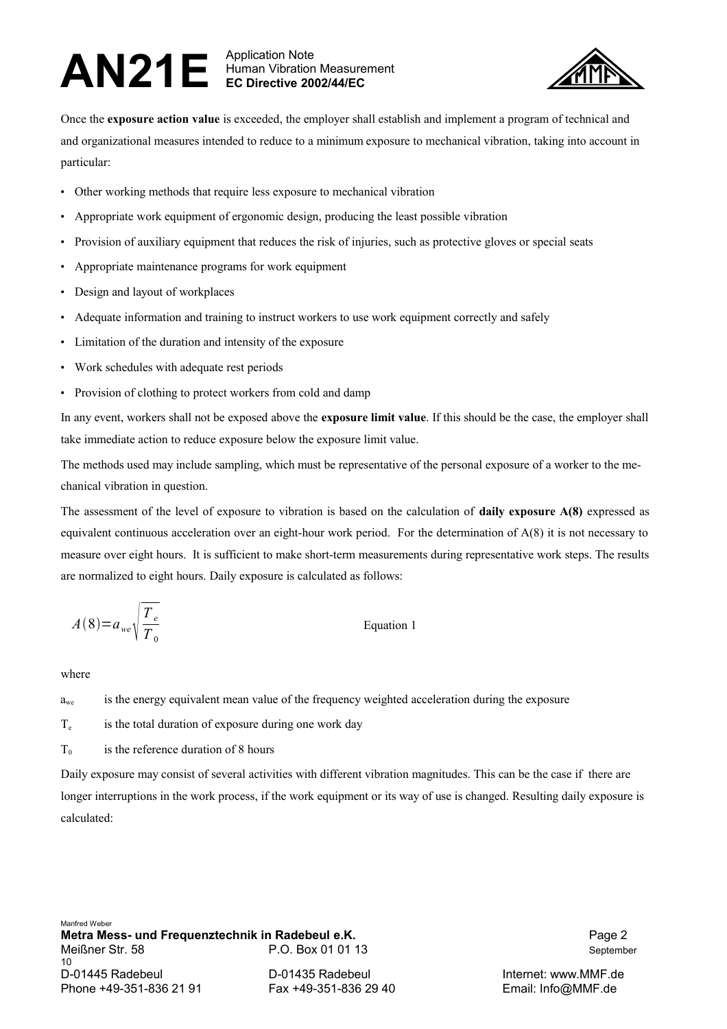### AN21E Human Vibration Note Human Vibration Measurement **EC Directive 2002/44/EC**



Once the **exposure action value** is exceeded, the employer shall establish and implement a program of technical and and organizational measures intended to reduce to a minimum exposure to mechanical vibration, taking into account in particular:

- Other working methods that require less exposure to mechanical vibration
- Appropriate work equipment of ergonomic design, producing the least possible vibration
- Provision of auxiliary equipment that reduces the risk of injuries, such as protective gloves or special seats
- Appropriate maintenance programs for work equipment
- Design and layout of workplaces
- Adequate information and training to instruct workers to use work equipment correctly and safely
- Limitation of the duration and intensity of the exposure
- Work schedules with adequate rest periods
- Provision of clothing to protect workers from cold and damp

In any event, workers shall not be exposed above the **exposure limit value**. If this should be the case, the employer shall take immediate action to reduce exposure below the exposure limit value.

The methods used may include sampling, which must be representative of the personal exposure of a worker to the mechanical vibration in question.

The assessment of the level of exposure to vibration is based on the calculation of **daily exposure A(8)** expressed as equivalent continuous acceleration over an eight-hour work period. For the determination of A(8) it is not necessary to measure over eight hours. It is sufficient to make short-term measurements during representative work steps. The results are normalized to eight hours. Daily exposure is calculated as follows:

Equation 1

$$
A(8) = a_{we} \sqrt{\frac{T_e}{T_0}}
$$

where

- $a_{we}$  is the energy equivalent mean value of the frequency weighted acceleration during the exposure
- T<sub>e</sub> is the total duration of exposure during one work day

 $T<sub>0</sub>$  is the reference duration of 8 hours

Daily exposure may consist of several activities with different vibration magnitudes. This can be the case if there are longer interruptions in the work process, if the work equipment or its way of use is changed. Resulting daily exposure is calculated: